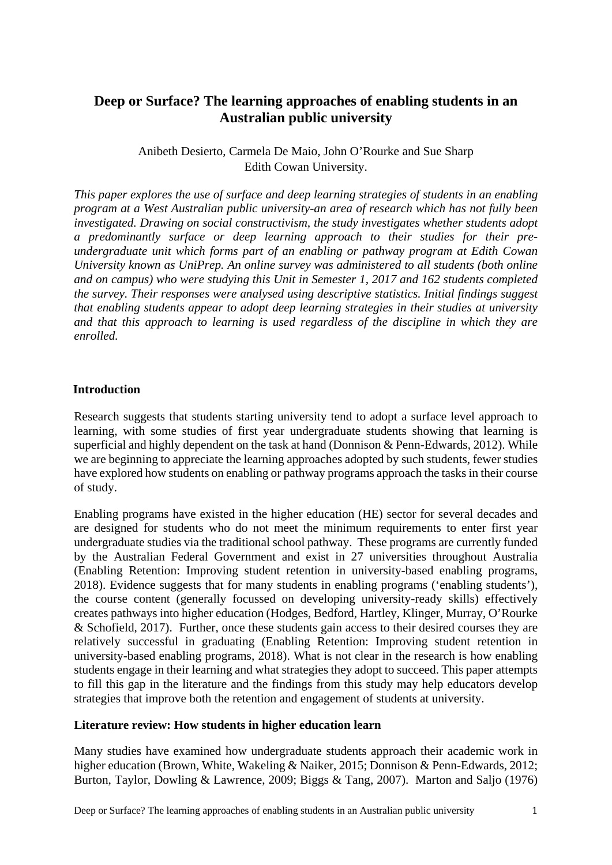# **Deep or Surface? The learning approaches of enabling students in an Australian public university**

# Anibeth Desierto, Carmela De Maio, John O'Rourke and Sue Sharp Edith Cowan University.

*This paper explores the use of surface and deep learning strategies of students in an enabling program at a West Australian public university-an area of research which has not fully been investigated. Drawing on social constructivism, the study investigates whether students adopt a predominantly surface or deep learning approach to their studies for their preundergraduate unit which forms part of an enabling or pathway program at Edith Cowan University known as UniPrep. An online survey was administered to all students (both online and on campus) who were studying this Unit in Semester 1, 2017 and 162 students completed the survey. Their responses were analysed using descriptive statistics. Initial findings suggest that enabling students appear to adopt deep learning strategies in their studies at university and that this approach to learning is used regardless of the discipline in which they are enrolled.*

## **Introduction**

Research suggests that students starting university tend to adopt a surface level approach to learning, with some studies of first year undergraduate students showing that learning is superficial and highly dependent on the task at hand (Donnison & Penn-Edwards, 2012). While we are beginning to appreciate the learning approaches adopted by such students, fewer studies have explored how students on enabling or pathway programs approach the tasks in their course of study.

Enabling programs have existed in the higher education (HE) sector for several decades and are designed for students who do not meet the minimum requirements to enter first year undergraduate studies via the traditional school pathway. These programs are currently funded by the Australian Federal Government and exist in 27 universities throughout Australia (Enabling Retention: Improving student retention in university-based enabling programs, 2018). Evidence suggests that for many students in enabling programs ('enabling students'), the course content (generally focussed on developing university-ready skills) effectively creates pathways into higher education (Hodges, Bedford, Hartley, Klinger, Murray, O'Rourke & Schofield, 2017). Further, once these students gain access to their desired courses they are relatively successful in graduating (Enabling Retention: Improving student retention in university-based enabling programs, 2018). What is not clear in the research is how enabling students engage in their learning and what strategies they adopt to succeed. This paper attempts to fill this gap in the literature and the findings from this study may help educators develop strategies that improve both the retention and engagement of students at university.

### **Literature review: How students in higher education learn**

Many studies have examined how undergraduate students approach their academic work in higher education (Brown, White, Wakeling & Naiker, 2015; Donnison & Penn-Edwards, 2012; Burton, Taylor, Dowling & Lawrence, 2009; Biggs & Tang, 2007). Marton and Saljo (1976)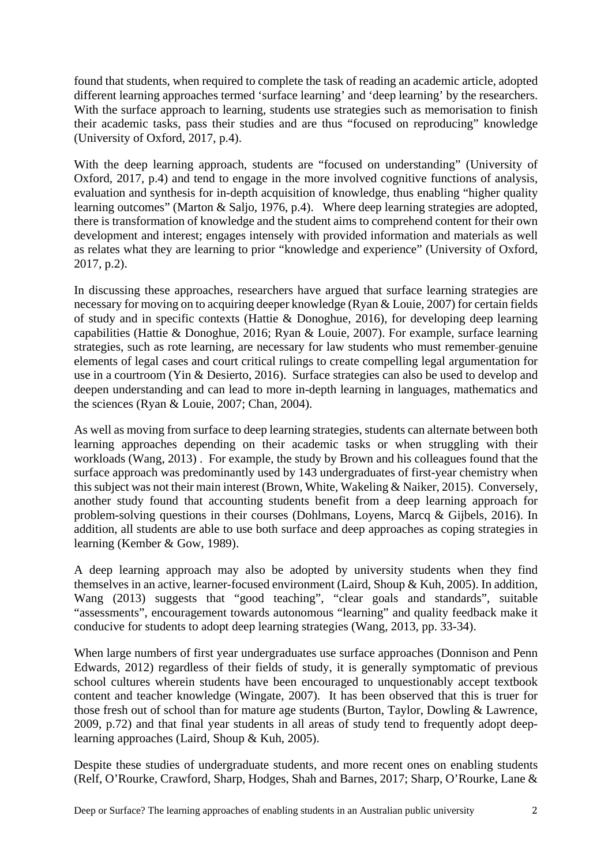found that students, when required to complete the task of reading an academic article, adopted different learning approaches termed 'surface learning' and 'deep learning' by the researchers. With the surface approach to learning, students use strategies such as memorisation to finish their academic tasks, pass their studies and are thus "focused on reproducing" knowledge (University of Oxford, 2017, p.4).

With the deep learning approach, students are "focused on understanding" (University of Oxford, 2017, p.4) and tend to engage in the more involved cognitive functions of analysis, evaluation and synthesis for in-depth acquisition of knowledge, thus enabling "higher quality learning outcomes" (Marton & Saljo, 1976, p.4). Where deep learning strategies are adopted, there is transformation of knowledge and the student aims to comprehend content for their own development and interest; engages intensely with provided information and materials as well as relates what they are learning to prior "knowledge and experience" (University of Oxford, 2017, p.2).

In discussing these approaches, researchers have argued that surface learning strategies are necessary for moving on to acquiring deeper knowledge (Ryan & Louie, 2007) for certain fields of study and in specific contexts (Hattie & Donoghue, 2016), for developing deep learning capabilities (Hattie & Donoghue, 2016; Ryan & Louie, 2007). For example, surface learning strategies, such as rote learning, are necessary for law students who must remember genuine elements of legal cases and court critical rulings to create compelling legal argumentation for use in a courtroom (Yin & Desierto, 2016). Surface strategies can also be used to develop and deepen understanding and can lead to more in-depth learning in languages, mathematics and the sciences (Ryan & Louie, 2007; Chan, 2004).

As well as moving from surface to deep learning strategies, students can alternate between both learning approaches depending on their academic tasks or when struggling with their workloads (Wang, 2013) . For example, the study by Brown and his colleagues found that the surface approach was predominantly used by 143 undergraduates of first-year chemistry when this subject was not their main interest (Brown, White, Wakeling & Naiker, 2015). Conversely, another study found that accounting students benefit from a deep learning approach for problem-solving questions in their courses (Dohlmans, Loyens, Marcq & Gijbels, 2016). In addition, all students are able to use both surface and deep approaches as coping strategies in learning (Kember & Gow, 1989).

A deep learning approach may also be adopted by university students when they find themselves in an active, learner-focused environment (Laird, Shoup & Kuh, 2005). In addition, Wang (2013) suggests that "good teaching", "clear goals and standards", suitable "assessments", encouragement towards autonomous "learning" and quality feedback make it conducive for students to adopt deep learning strategies (Wang, 2013, pp. 33-34).

When large numbers of first year undergraduates use surface approaches (Donnison and Penn Edwards, 2012) regardless of their fields of study, it is generally symptomatic of previous school cultures wherein students have been encouraged to unquestionably accept textbook content and teacher knowledge (Wingate, 2007). It has been observed that this is truer for those fresh out of school than for mature age students (Burton, Taylor, Dowling & Lawrence, 2009, p.72) and that final year students in all areas of study tend to frequently adopt deeplearning approaches (Laird, Shoup & Kuh, 2005).

Despite these studies of undergraduate students, and more recent ones on enabling students (Relf, O'Rourke, Crawford, Sharp, Hodges, Shah and Barnes, 2017; Sharp, O'Rourke, Lane &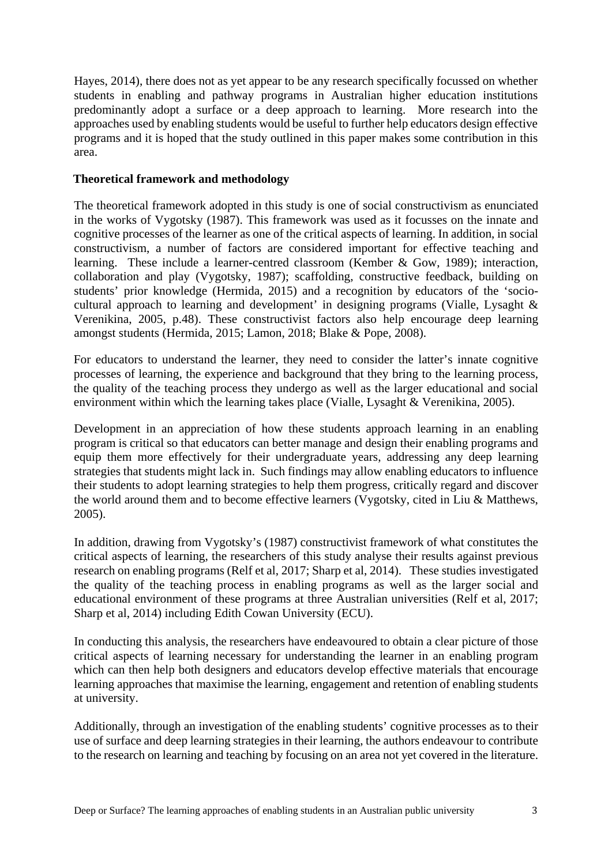Hayes, 2014), there does not as yet appear to be any research specifically focussed on whether students in enabling and pathway programs in Australian higher education institutions predominantly adopt a surface or a deep approach to learning. More research into the approaches used by enabling students would be useful to further help educators design effective programs and it is hoped that the study outlined in this paper makes some contribution in this area.

### **Theoretical framework and methodology**

The theoretical framework adopted in this study is one of social constructivism as enunciated in the works of Vygotsky (1987). This framework was used as it focusses on the innate and cognitive processes of the learner as one of the critical aspects of learning. In addition, in social constructivism, a number of factors are considered important for effective teaching and learning. These include a learner-centred classroom (Kember & Gow, 1989); interaction, collaboration and play (Vygotsky, 1987); scaffolding, constructive feedback, building on students' prior knowledge (Hermida, 2015) and a recognition by educators of the 'sociocultural approach to learning and development' in designing programs (Vialle, Lysaght & Verenikina, 2005, p.48). These constructivist factors also help encourage deep learning amongst students (Hermida, 2015; Lamon, 2018; Blake & Pope, 2008).

For educators to understand the learner, they need to consider the latter's innate cognitive processes of learning, the experience and background that they bring to the learning process, the quality of the teaching process they undergo as well as the larger educational and social environment within which the learning takes place (Vialle, Lysaght & Verenikina, 2005).

Development in an appreciation of how these students approach learning in an enabling program is critical so that educators can better manage and design their enabling programs and equip them more effectively for their undergraduate years, addressing any deep learning strategies that students might lack in. Such findings may allow enabling educators to influence their students to adopt learning strategies to help them progress, critically regard and discover the world around them and to become effective learners (Vygotsky, cited in Liu & Matthews, 2005).

In addition, drawing from Vygotsky's (1987) constructivist framework of what constitutes the critical aspects of learning, the researchers of this study analyse their results against previous research on enabling programs (Relf et al, 2017; Sharp et al, 2014). These studies investigated the quality of the teaching process in enabling programs as well as the larger social and educational environment of these programs at three Australian universities (Relf et al, 2017; Sharp et al, 2014) including Edith Cowan University (ECU).

In conducting this analysis, the researchers have endeavoured to obtain a clear picture of those critical aspects of learning necessary for understanding the learner in an enabling program which can then help both designers and educators develop effective materials that encourage learning approaches that maximise the learning, engagement and retention of enabling students at university.

Additionally, through an investigation of the enabling students' cognitive processes as to their use of surface and deep learning strategies in their learning, the authors endeavour to contribute to the research on learning and teaching by focusing on an area not yet covered in the literature.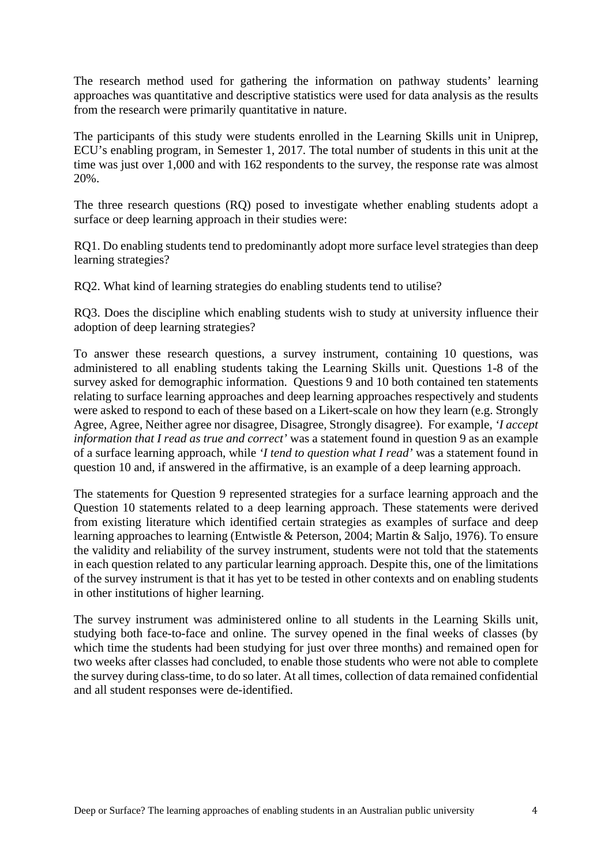The research method used for gathering the information on pathway students' learning approaches was quantitative and descriptive statistics were used for data analysis as the results from the research were primarily quantitative in nature.

The participants of this study were students enrolled in the Learning Skills unit in Uniprep, ECU's enabling program, in Semester 1, 2017. The total number of students in this unit at the time was just over 1,000 and with 162 respondents to the survey, the response rate was almost 20%.

The three research questions (RQ) posed to investigate whether enabling students adopt a surface or deep learning approach in their studies were:

RQ1. Do enabling students tend to predominantly adopt more surface level strategies than deep learning strategies?

RQ2. What kind of learning strategies do enabling students tend to utilise?

RQ3. Does the discipline which enabling students wish to study at university influence their adoption of deep learning strategies?

To answer these research questions, a survey instrument, containing 10 questions, was administered to all enabling students taking the Learning Skills unit. Questions 1-8 of the survey asked for demographic information. Questions 9 and 10 both contained ten statements relating to surface learning approaches and deep learning approaches respectively and students were asked to respond to each of these based on a Likert-scale on how they learn (e.g. Strongly Agree, Agree, Neither agree nor disagree, Disagree, Strongly disagree). For example, *'I accept information that I read as true and correct'* was a statement found in question 9 as an example of a surface learning approach, while *'I tend to question what I read'* was a statement found in question 10 and, if answered in the affirmative, is an example of a deep learning approach.

The statements for Question 9 represented strategies for a surface learning approach and the Question 10 statements related to a deep learning approach. These statements were derived from existing literature which identified certain strategies as examples of surface and deep learning approaches to learning (Entwistle & Peterson, 2004; Martin & Saljo, 1976). To ensure the validity and reliability of the survey instrument, students were not told that the statements in each question related to any particular learning approach. Despite this, one of the limitations of the survey instrument is that it has yet to be tested in other contexts and on enabling students in other institutions of higher learning.

The survey instrument was administered online to all students in the Learning Skills unit, studying both face-to-face and online. The survey opened in the final weeks of classes (by which time the students had been studying for just over three months) and remained open for two weeks after classes had concluded, to enable those students who were not able to complete the survey during class-time, to do so later. At all times, collection of data remained confidential and all student responses were de-identified.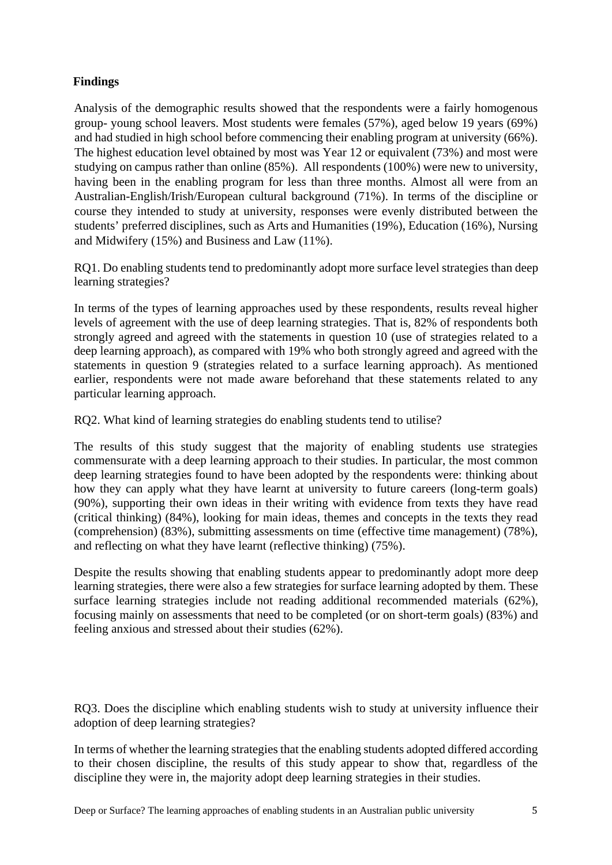# **Findings**

Analysis of the demographic results showed that the respondents were a fairly homogenous group- young school leavers. Most students were females (57%), aged below 19 years (69%) and had studied in high school before commencing their enabling program at university (66%). The highest education level obtained by most was Year 12 or equivalent (73%) and most were studying on campus rather than online (85%). All respondents (100%) were new to university, having been in the enabling program for less than three months. Almost all were from an Australian-English/Irish/European cultural background (71%). In terms of the discipline or course they intended to study at university, responses were evenly distributed between the students' preferred disciplines, such as Arts and Humanities (19%), Education (16%), Nursing and Midwifery (15%) and Business and Law (11%).

RQ1. Do enabling students tend to predominantly adopt more surface level strategies than deep learning strategies?

In terms of the types of learning approaches used by these respondents, results reveal higher levels of agreement with the use of deep learning strategies. That is, 82% of respondents both strongly agreed and agreed with the statements in question 10 (use of strategies related to a deep learning approach), as compared with 19% who both strongly agreed and agreed with the statements in question 9 (strategies related to a surface learning approach). As mentioned earlier, respondents were not made aware beforehand that these statements related to any particular learning approach.

RQ2. What kind of learning strategies do enabling students tend to utilise?

The results of this study suggest that the majority of enabling students use strategies commensurate with a deep learning approach to their studies. In particular, the most common deep learning strategies found to have been adopted by the respondents were: thinking about how they can apply what they have learnt at university to future careers (long-term goals) (90%), supporting their own ideas in their writing with evidence from texts they have read (critical thinking) (84%), looking for main ideas, themes and concepts in the texts they read (comprehension) (83%), submitting assessments on time (effective time management) (78%), and reflecting on what they have learnt (reflective thinking) (75%).

Despite the results showing that enabling students appear to predominantly adopt more deep learning strategies, there were also a few strategies for surface learning adopted by them. These surface learning strategies include not reading additional recommended materials (62%), focusing mainly on assessments that need to be completed (or on short-term goals) (83%) and feeling anxious and stressed about their studies (62%).

RQ3. Does the discipline which enabling students wish to study at university influence their adoption of deep learning strategies?

In terms of whether the learning strategies that the enabling students adopted differed according to their chosen discipline, the results of this study appear to show that, regardless of the discipline they were in, the majority adopt deep learning strategies in their studies.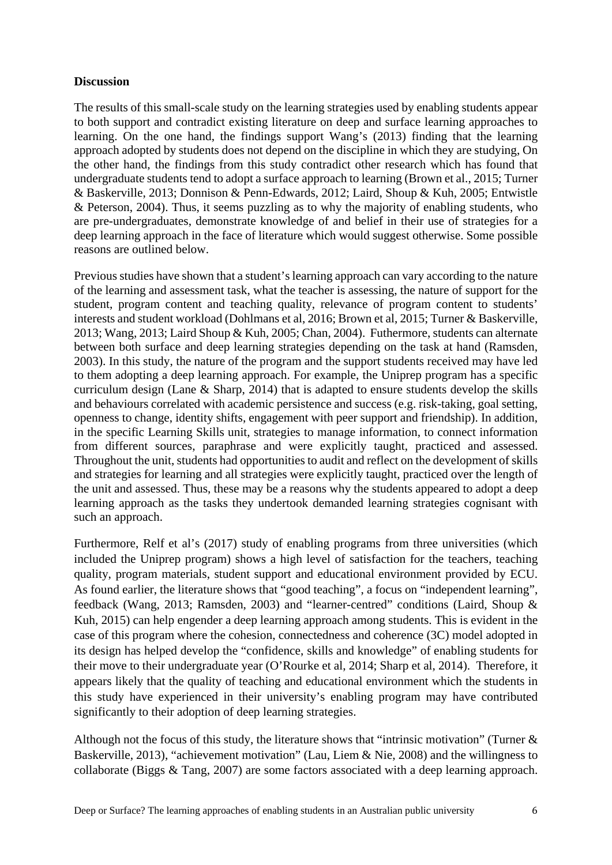### **Discussion**

The results of this small-scale study on the learning strategies used by enabling students appear to both support and contradict existing literature on deep and surface learning approaches to learning. On the one hand, the findings support Wang's (2013) finding that the learning approach adopted by students does not depend on the discipline in which they are studying, On the other hand, the findings from this study contradict other research which has found that undergraduate students tend to adopt a surface approach to learning (Brown et al., 2015; Turner & Baskerville, 2013; Donnison & Penn-Edwards, 2012; Laird, Shoup & Kuh, 2005; Entwistle & Peterson, 2004). Thus, it seems puzzling as to why the majority of enabling students, who are pre-undergraduates, demonstrate knowledge of and belief in their use of strategies for a deep learning approach in the face of literature which would suggest otherwise. Some possible reasons are outlined below.

Previous studies have shown that a student's learning approach can vary according to the nature of the learning and assessment task, what the teacher is assessing, the nature of support for the student, program content and teaching quality, relevance of program content to students' interests and student workload (Dohlmans et al, 2016; Brown et al, 2015; Turner & Baskerville, 2013; Wang, 2013; Laird Shoup & Kuh, 2005; Chan, 2004). Futhermore, students can alternate between both surface and deep learning strategies depending on the task at hand (Ramsden, 2003). In this study, the nature of the program and the support students received may have led to them adopting a deep learning approach. For example, the Uniprep program has a specific curriculum design (Lane & Sharp, 2014) that is adapted to ensure students develop the skills and behaviours correlated with academic persistence and success (e.g. risk-taking, goal setting, openness to change, identity shifts, engagement with peer support and friendship). In addition, in the specific Learning Skills unit, strategies to manage information, to connect information from different sources, paraphrase and were explicitly taught, practiced and assessed. Throughout the unit, students had opportunities to audit and reflect on the development of skills and strategies for learning and all strategies were explicitly taught, practiced over the length of the unit and assessed. Thus, these may be a reasons why the students appeared to adopt a deep learning approach as the tasks they undertook demanded learning strategies cognisant with such an approach.

Furthermore, Relf et al's (2017) study of enabling programs from three universities (which included the Uniprep program) shows a high level of satisfaction for the teachers, teaching quality, program materials, student support and educational environment provided by ECU. As found earlier, the literature shows that "good teaching", a focus on "independent learning", feedback (Wang, 2013; Ramsden, 2003) and "learner-centred" conditions (Laird, Shoup & Kuh, 2015) can help engender a deep learning approach among students. This is evident in the case of this program where the cohesion, connectedness and coherence (3C) model adopted in its design has helped develop the "confidence, skills and knowledge" of enabling students for their move to their undergraduate year (O'Rourke et al, 2014; Sharp et al, 2014). Therefore, it appears likely that the quality of teaching and educational environment which the students in this study have experienced in their university's enabling program may have contributed significantly to their adoption of deep learning strategies.

Although not the focus of this study, the literature shows that "intrinsic motivation" (Turner  $\&$ Baskerville, 2013), "achievement motivation" (Lau, Liem & Nie, 2008) and the willingness to collaborate (Biggs & Tang, 2007) are some factors associated with a deep learning approach.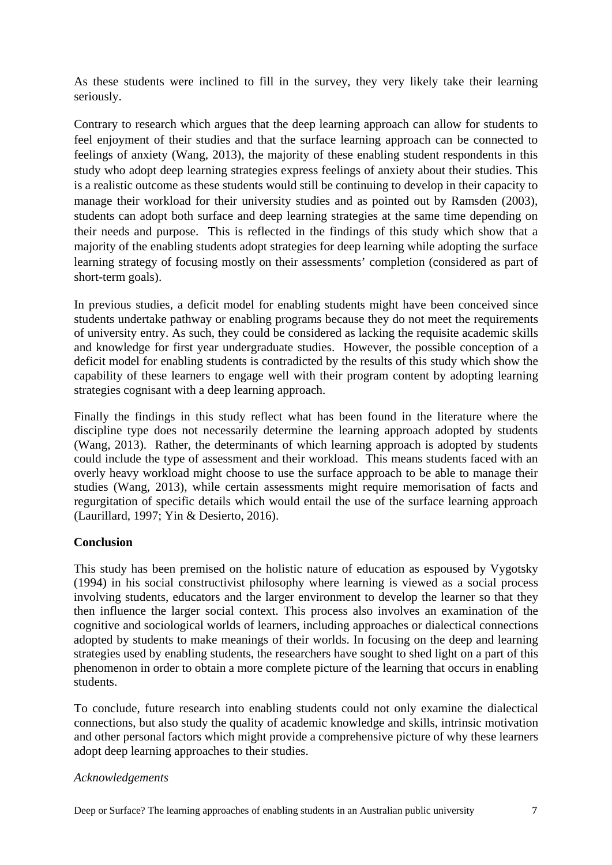As these students were inclined to fill in the survey, they very likely take their learning seriously.

Contrary to research which argues that the deep learning approach can allow for students to feel enjoyment of their studies and that the surface learning approach can be connected to feelings of anxiety (Wang, 2013), the majority of these enabling student respondents in this study who adopt deep learning strategies express feelings of anxiety about their studies. This is a realistic outcome as these students would still be continuing to develop in their capacity to manage their workload for their university studies and as pointed out by Ramsden (2003), students can adopt both surface and deep learning strategies at the same time depending on their needs and purpose. This is reflected in the findings of this study which show that a majority of the enabling students adopt strategies for deep learning while adopting the surface learning strategy of focusing mostly on their assessments' completion (considered as part of short-term goals).

In previous studies, a deficit model for enabling students might have been conceived since students undertake pathway or enabling programs because they do not meet the requirements of university entry. As such, they could be considered as lacking the requisite academic skills and knowledge for first year undergraduate studies. However, the possible conception of a deficit model for enabling students is contradicted by the results of this study which show the capability of these learners to engage well with their program content by adopting learning strategies cognisant with a deep learning approach.

Finally the findings in this study reflect what has been found in the literature where the discipline type does not necessarily determine the learning approach adopted by students (Wang, 2013). Rather, the determinants of which learning approach is adopted by students could include the type of assessment and their workload. This means students faced with an overly heavy workload might choose to use the surface approach to be able to manage their studies (Wang, 2013), while certain assessments might require memorisation of facts and regurgitation of specific details which would entail the use of the surface learning approach (Laurillard, 1997; Yin & Desierto, 2016).

## **Conclusion**

This study has been premised on the holistic nature of education as espoused by Vygotsky (1994) in his social constructivist philosophy where learning is viewed as a social process involving students, educators and the larger environment to develop the learner so that they then influence the larger social context. This process also involves an examination of the cognitive and sociological worlds of learners, including approaches or dialectical connections adopted by students to make meanings of their worlds. In focusing on the deep and learning strategies used by enabling students, the researchers have sought to shed light on a part of this phenomenon in order to obtain a more complete picture of the learning that occurs in enabling students.

To conclude, future research into enabling students could not only examine the dialectical connections, but also study the quality of academic knowledge and skills, intrinsic motivation and other personal factors which might provide a comprehensive picture of why these learners adopt deep learning approaches to their studies.

### *Acknowledgements*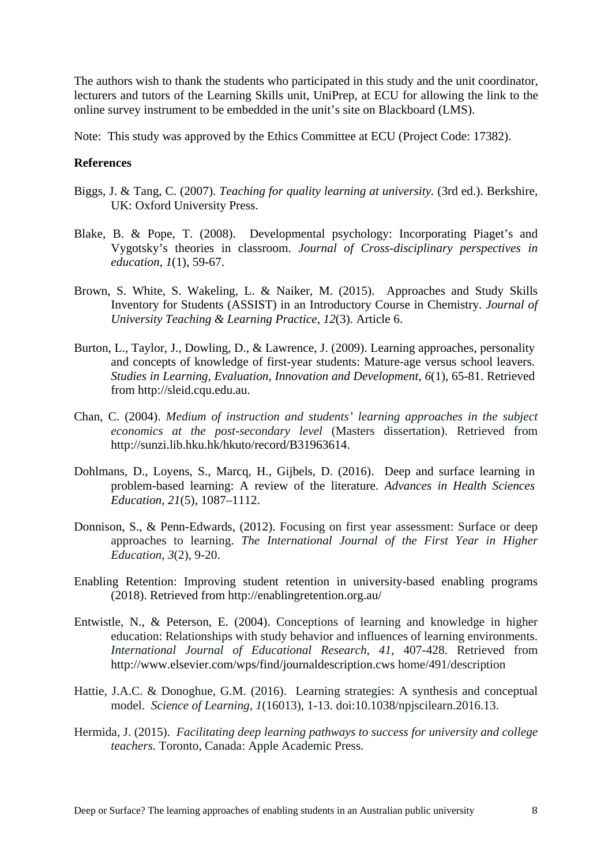The authors wish to thank the students who participated in this study and the unit coordinator, lecturers and tutors of the Learning Skills unit, UniPrep, at ECU for allowing the link to the online survey instrument to be embedded in the unit's site on Blackboard (LMS).

Note: This study was approved by the Ethics Committee at ECU (Project Code: 17382).

#### **References**

- Biggs, J. & Tang, C. (2007). *Teaching for quality learning at university.* (3rd ed.). Berkshire, UK: Oxford University Press.
- Blake, B. & Pope, T. (2008). Developmental psychology: Incorporating Piaget's and Vygotsky's theories in classroom. *Journal of Cross-disciplinary perspectives in education, 1*(1), 59-67.
- Brown, S. White, S. Wakeling, L. & Naiker, M. (2015). Approaches and Study Skills Inventory for Students (ASSIST) in an Introductory Course in Chemistry. *Journal of University Teaching & Learning Practice*, *12*(3). Article 6.
- Burton, L., Taylor, J., Dowling, D., & Lawrence, J. (2009). Learning approaches, personality and concepts of knowledge of first-year students: Mature-age versus school leavers. *Studies in Learning, Evaluation, Innovation and Development*, *6*(1), 65-81. Retrieved from http://sleid.cqu.edu.au.
- Chan, C. (2004). *Medium of instruction and students' learning approaches in the subject economics at the post-secondary level* (Masters dissertation). Retrieved from http://sunzi.lib.hku.hk/hkuto/record/B31963614.
- Dohlmans, D., Loyens, S., Marcq, H., Gijbels, D. (2016). Deep and surface learning in problem-based learning: A review of the literature. *Advances in Health Sciences Education, 21*(5), 1087–1112.
- Donnison, S., & Penn-Edwards, (2012). Focusing on first year assessment: Surface or deep approaches to learning. *The International Journal of the First Year in Higher Education*, *3*(2), 9-20.
- Enabling Retention: Improving student retention in university-based enabling programs (2018). Retrieved from http://enablingretention.org.au/
- Entwistle, N., & Peterson, E. (2004). Conceptions of learning and knowledge in higher education: Relationships with study behavior and influences of learning environments. *International Journal of Educational Research*, *41,* 407-428. Retrieved from http://www.elsevier.com/wps/find/journaldescription.cws home/491/description
- Hattie, J.A.C. & Donoghue, G.M. (2016). Learning strategies: A synthesis and conceptual model. *Science of Learning*, *1*(16013), 1-13. doi:10.1038/npjscilearn.2016.13.
- Hermida, J. (2015). *Facilitating deep learning pathways to success for university and college teachers.* Toronto, Canada: Apple Academic Press.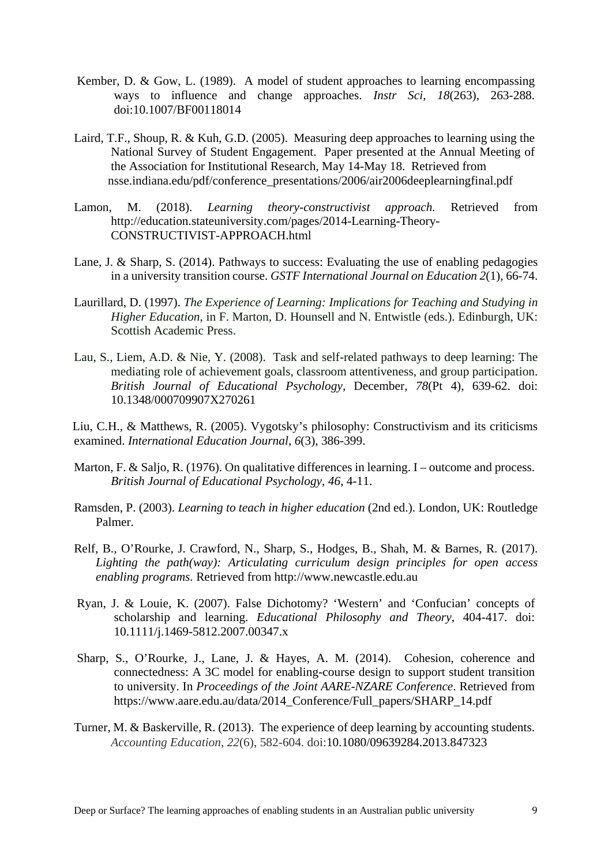- Kember, D. & Gow, L. (1989). A model of student approaches to learning encompassing ways to influence and change approaches. *Instr Sci*, *18*(263), 263-288. doi:10.1007/BF00118014
- Laird, T.F., Shoup, R. & Kuh, G.D. (2005). Measuring deep approaches to learning using the National Survey of Student Engagement. Paper presented at the Annual Meeting of the Association for Institutional Research, May 14-May 18. Retrieved from nsse.indiana.edu/pdf/conference\_presentations/2006/air2006deeplearningfinal.pdf
- Lamon, M. (2018). *Learning theory-constructivist approach.* Retrieved from http://education.stateuniversity.com/pages/2014-Learning-Theory-CONSTRUCTIVIST-APPROACH.html
- Lane, J. & Sharp, S. (2014). Pathways to success: Evaluating the use of enabling pedagogies in a university transition course. *GSTF International Journal on Education 2*(1), 66-74.
- Laurillard, D. (1997). *The Experience of Learning: Implications for Teaching and Studying in Higher Education*, in F. Marton, D. Hounsell and N. Entwistle (eds.). Edinburgh, UK: Scottish Academic Press.
- Lau, S., Liem, A.D. & Nie, Y. (2008). Task and self-related pathways to deep learning: The mediating role of achievement goals, classroom attentiveness, and group participation. *British Journal of [Educational](https://www.ncbi.nlm.nih.gov/pubmed/18166143) Psychology*, December, *78*(Pt 4), 639-62. doi: 10.1348/000709907X270261

 Liu, C.H., & Matthews, R. (2005). Vygotsky's philosophy: Constructivism and its criticisms examined. *International Education Journal*, *6*(3), 386-399.

- Marton, F. & Saljo, R. (1976). On qualitative differences in learning. I outcome and process. *British Journal of Educational Psychology*, *46,* 4-11.
- Ramsden, P. (2003). *Learning to teach in higher education* (2nd ed.). London, UK: Routledge Palmer.
- Relf, B., O'Rourke, J. Crawford, N., Sharp, S., Hodges, B., Shah, M. & Barnes, R. (2017). *Lighting the path(way): Articulating curriculum design principles for open access enabling programs.* Retrieved from http://www.newcastle.edu.au
- Ryan, J. & Louie, K. (2007). False Dichotomy? 'Western' and 'Confucian' concepts of scholarship and learning. *Educational Philosophy and Theory,* 404-417. doi: 10.1111/j.1469-5812.2007.00347.x
- Sharp, S., O'Rourke, J., Lane, J. & Hayes, A. M. (2014). Cohesion, coherence and connectedness: A 3C model for enabling-course design to support student transition to university. In *Proceedings of the Joint AARE-NZARE Conference*. Retrieved from https://www.aare.edu.au/data/2014\_Conference/Full\_papers/SHARP\_14.pdf
- Turner, M. & Baskerville, R. (2013). The experience of deep learning by accounting students. *Accounting Education, 22*(6), 582-604. doi:10.1080/09639284.2013.847323